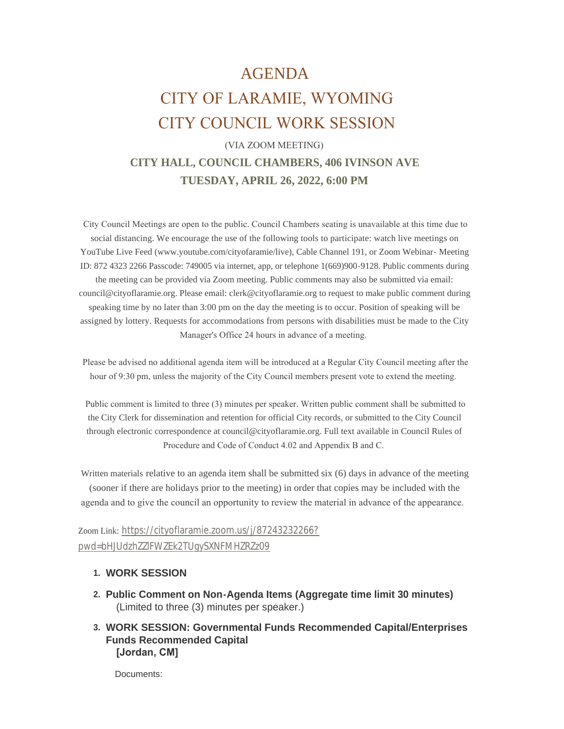# AGENDA CITY OF LARAMIE, WYOMING CITY COUNCIL WORK SESSION

## (VIA ZOOM MEETING) **CITY HALL, COUNCIL CHAMBERS, 406 IVINSON AVE TUESDAY, APRIL 26, 2022, 6:00 PM**

 City Council Meetings are open to the public. Council Chambers seating is unavailable at this time due to social distancing. We encourage the use of the following tools to participate: watch live meetings on YouTube Live Feed (www.youtube.com/cityofaramie/live), Cable Channel 191, or Zoom Webinar- Meeting ID: 872 4323 2266 Passcode: 749005 via internet, app, or telephone 1(669)900-9128. Public comments during the meeting can be provided via Zoom meeting. Public comments may also be submitted via email: council@cityoflaramie.org. Please email: clerk@cityoflaramie.org to request to make public comment during speaking time by no later than 3:00 pm on the day the meeting is to occur. Position of speaking will be assigned by lottery. Requests for accommodations from persons with disabilities must be made to the City Manager's Office 24 hours in advance of a meeting.

 Please be advised no additional agenda item will be introduced at a Regular City Council meeting after the hour of 9:30 pm, unless the majority of the City Council members present vote to extend the meeting.

 Public comment is limited to three (3) minutes per speaker. Written public comment shall be submitted to the City Clerk for dissemination and retention for official City records, or submitted to the City Council through electronic correspondence at council@cityoflaramie.org. Full text available in Council Rules of Procedure and Code of Conduct 4.02 and Appendix B and C.

Written materials relative to an agenda item shall be submitted six (6) days in advance of the meeting (sooner if there are holidays prior to the meeting) in order that copies may be included with the agenda and to give the council an opportunity to review the material in advance of the appearance.

Zoom Link: [https://cityoflaramie.zoom.us/j/87243232266?](https://cityoflaramie.zoom.us/j/87243232266?pwd=bHJUdzhZZlFWZEk2TUgySXNFMHZRZz09) pwd=bHJUdzhZZlFWZEk2TUgySXNFMHZRZz09

### **WORK SESSION 1.**

- **Public Comment on Non-Agenda Items (Aggregate time limit 30 minutes) 2.** (Limited to three (3) minutes per speaker.)
- **WORK SESSION: Governmental Funds Recommended Capital/Enterprises 3. Funds Recommended Capital [Jordan, CM]**

Documents: